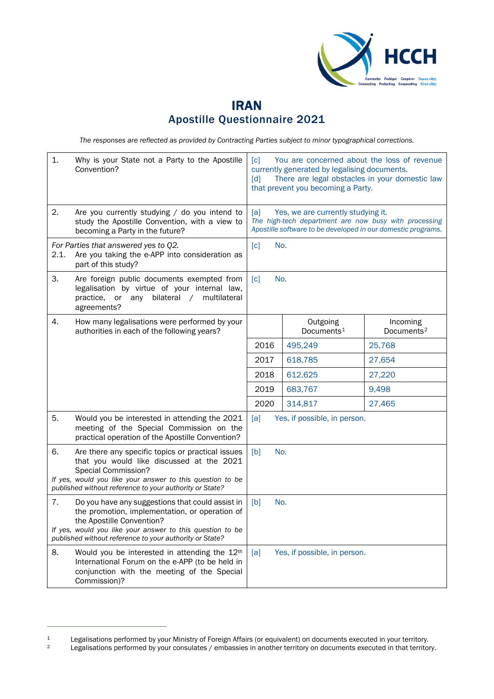

## IRAN Apostille Questionnaire 2021

*The responses are reflected as provided by Contracting Parties subject to minor typographical corrections.*

| 1.   | Why is your State not a Party to the Apostille<br>Convention?                                                                                                                                                                                           | $\lceil c \rceil$<br>You are concerned about the loss of revenue<br>currently generated by legalising documents.<br>There are legal obstacles in your domestic law<br>$\lceil d \rceil$<br>that prevent you becoming a Party. |                                    |                                    |
|------|---------------------------------------------------------------------------------------------------------------------------------------------------------------------------------------------------------------------------------------------------------|-------------------------------------------------------------------------------------------------------------------------------------------------------------------------------------------------------------------------------|------------------------------------|------------------------------------|
| 2.   | Are you currently studying / do you intend to<br>study the Apostille Convention, with a view to<br>becoming a Party in the future?                                                                                                                      | Yes, we are currently studying it.<br>[a]<br>The high-tech department are now busy with processing<br>Apostille software to be developed in our domestic programs.                                                            |                                    |                                    |
| 2.1. | For Parties that answered yes to Q2.<br>Are you taking the e-APP into consideration as<br>part of this study?                                                                                                                                           | [c]<br>No.                                                                                                                                                                                                                    |                                    |                                    |
| 3.   | Are foreign public documents exempted from<br>legalisation by virtue of your internal law,<br>practice, or any<br>bilateral / multilateral<br>agreements?                                                                                               | No.<br>$\lceil c \rceil$                                                                                                                                                                                                      |                                    |                                    |
| 4.   | How many legalisations were performed by your<br>authorities in each of the following years?                                                                                                                                                            |                                                                                                                                                                                                                               | Outgoing<br>Documents <sup>1</sup> | Incoming<br>Documents <sup>2</sup> |
|      |                                                                                                                                                                                                                                                         | 2016                                                                                                                                                                                                                          | 495,249                            | 25,768                             |
|      |                                                                                                                                                                                                                                                         | 2017                                                                                                                                                                                                                          | 618,785                            | 27,654                             |
|      |                                                                                                                                                                                                                                                         | 2018                                                                                                                                                                                                                          | 612,625                            | 27,220                             |
|      |                                                                                                                                                                                                                                                         | 2019                                                                                                                                                                                                                          | 683,767                            | 9,498                              |
|      |                                                                                                                                                                                                                                                         | 2020                                                                                                                                                                                                                          | 314,817                            | 27,465                             |
| 5.   | Would you be interested in attending the 2021<br>meeting of the Special Commission on the<br>practical operation of the Apostille Convention?                                                                                                           | [a]<br>Yes, if possible, in person.                                                                                                                                                                                           |                                    |                                    |
| 6.   | Are there any specific topics or practical issues<br>that you would like discussed at the 2021<br><b>Special Commission?</b><br>If yes, would you like your answer to this question to be<br>published without reference to your authority or State?    | No.<br>[b]                                                                                                                                                                                                                    |                                    |                                    |
| 7.   | Do you have any suggestions that could assist in<br>the promotion, implementation, or operation of<br>the Apostille Convention?<br>If yes, would you like your answer to this question to be<br>published without reference to your authority or State? | No.<br>[b]                                                                                                                                                                                                                    |                                    |                                    |
| 8.   | Would you be interested in attending the 12 <sup>th</sup><br>International Forum on the e-APP (to be held in<br>conjunction with the meeting of the Special<br>Commission)?                                                                             | Yes, if possible, in person.<br>[a]                                                                                                                                                                                           |                                    |                                    |

<span id="page-0-0"></span><sup>1</sup> Legalisations performed by your Ministry of Foreign Affairs (or equivalent) on documents executed in your territory.<br>1 Legalisations performed by your consulates / embassies in another territory on documents executed in

<span id="page-0-1"></span>Legalisations performed by your consulates / embassies in another territory on documents executed in that territory.